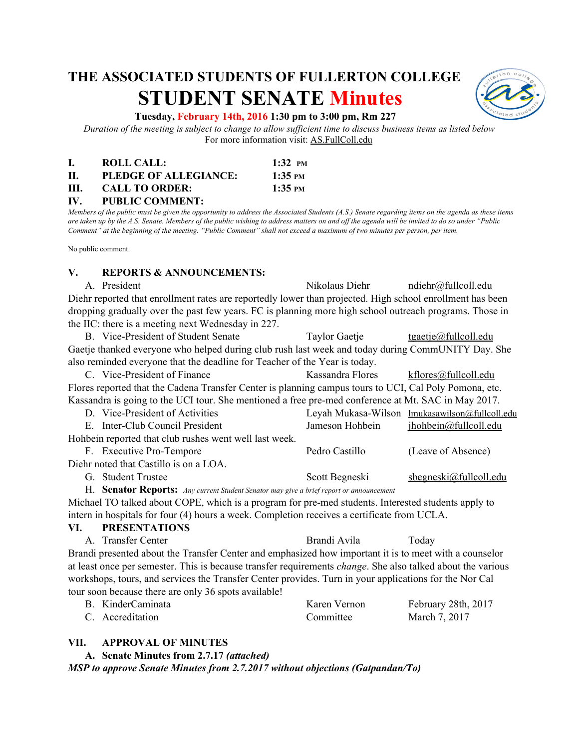# **THE ASSOCIATED STUDENTS OF FULLERTON COLLEGE STUDENT SENATE Minutes**



#### **Tuesday, February 14th, 2016 1:30 pm to 3:00 pm, Rm 227**

Duration of the meeting is subject to change to allow sufficient time to discuss business items as listed below For more information visit: AS.FullColl.edu

|      | ROLL CALL:            | $1:32 \text{ } \text{PM}$  |
|------|-----------------------|----------------------------|
| П.   | PLEDGE OF ALLEGIANCE: | $1:35 \text{ }^{\circ}$ PM |
| III. | <b>CALL TO ORDER:</b> | $1:35 \text{ }^{\circ}$ PM |

**IV. PUBLIC COMMENT:**

Members of the public must be given the opportunity to address the Associated Students (A.S.) Senate regarding items on the agenda as these items are taken up by the A.S. Senate. Members of the public wishing to address matters on and off the agenda will be invited to do so under "Public Comment" at the beginning of the meeting. "Public Comment" shall not exceed a maximum of two minutes per person, per item.

No public comment.

#### **V. REPORTS & ANNOUNCEMENTS:**

A. President Nikolaus Diehr [ndiehr@fullcoll.edu](mailto:ndiehr@fullcoll.edu) Diehr reported that enrollment rates are reportedly lower than projected. High school enrollment has been dropping gradually over the past few years. FC is planning more high school outreach programs. Those in the IIC: there is a meeting next Wednesday in 227.

B. Vice-President of Student Senate Taylor Gaetje [tgaetje@fullcoll.edu](mailto:tgaetje@fullcoll.edu) Gaetje thanked everyone who helped during club rush last week and today during CommUNITY Day. She also reminded everyone that the deadline for Teacher of the Year is today.

C. Vice-President of Finance Kassandra Flores [kflores@fullcoll.edu](mailto:kflores@fullcoll.edu) Flores reported that the Cadena Transfer Center is planning campus tours to UCI, Cal Poly Pomona, etc. Kassandra is going to the UCI tour. She mentioned a free pre-med conference at Mt. SAC in May 2017.

| D. Vice-President of Activities                        |                 | Leyah Mukasa-Wilson lmukasawilson@fullcoll.edu |
|--------------------------------------------------------|-----------------|------------------------------------------------|
| E. Inter-Club Council President                        | Jameson Hohbein | ihohbein@fullcoll.edu                          |
| Hohbein reported that club rushes went well last week. |                 |                                                |
| F. Executive Pro-Tempore                               | Pedro Castillo  | (Leave of Absence)                             |
| Diehr noted that Castillo is on a LOA.                 |                 |                                                |
| G. Student Trustee                                     | Scott Begneski  | $s$ begneski@fullcoll.edu                      |

H. **Senator Reports:** *Any current Student Senator may give <sup>a</sup> brief report or announcement*

Michael TO talked about COPE, which is a program for pre-med students. Interested students apply to intern in hospitals for four (4) hours a week. Completion receives a certificate from UCLA.

**VI. PRESENTATIONS** A. Transfer Center **Brandi Avila** Today Brandi presented about the Transfer Center and emphasized how important it is to meet with a counselor at least once per semester. This is because transfer requirements *change*. She also talked about the various workshops, tours, and services the Transfer Center provides. Turn in your applications for the Nor Cal

tour soon because there are only 36 spots available!

| B. KinderCaminata | Karen Vernon | February 28th, 2017 |
|-------------------|--------------|---------------------|
| C. Accreditation  | Committee    | March 7, 2017       |

#### **VII. APPROVAL OF MINUTES**

**A. Senate Minutes from 2.7.17** *(attached)*

*MSP to approve Senate Minutes from 2.7.2017 without objections (Gatpandan/To)*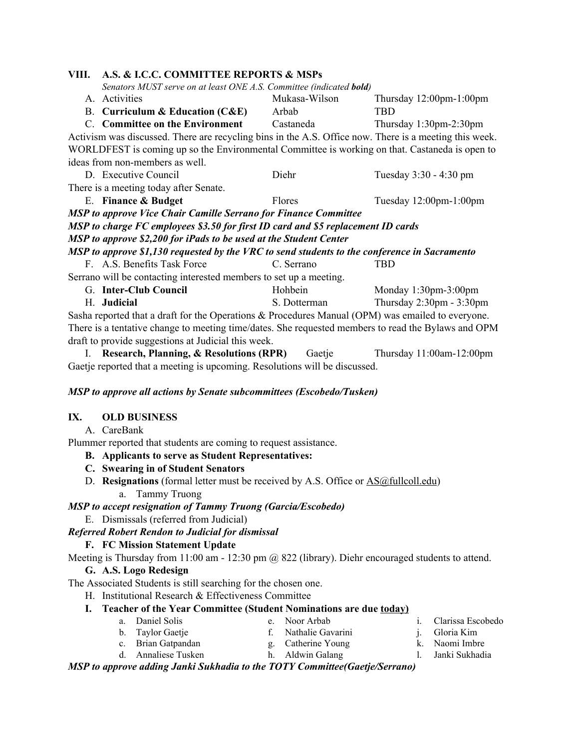| VIII.                                                                                                | A.S. & I.C.C. COMMITTEE REPORTS & MSPs                                                                 |               |                                            |  |  |  |
|------------------------------------------------------------------------------------------------------|--------------------------------------------------------------------------------------------------------|---------------|--------------------------------------------|--|--|--|
|                                                                                                      | Senators MUST serve on at least ONE A.S. Committee (indicated <b>bold</b> )                            |               |                                            |  |  |  |
|                                                                                                      | A. Activities                                                                                          | Mukasa-Wilson | Thursday $12:00$ pm- $1:00$ pm             |  |  |  |
|                                                                                                      | <b>B.</b> Curriculum & Education $(CAE)$                                                               | Arbab         | <b>TBD</b>                                 |  |  |  |
|                                                                                                      | C. Committee on the Environment                                                                        | Castaneda     | Thursday $1:30$ pm- $2:30$ pm              |  |  |  |
|                                                                                                      | Activism was discussed. There are recycling bins in the A.S. Office now. There is a meeting this week. |               |                                            |  |  |  |
| WORLDFEST is coming up so the Environmental Committee is working on that. Castaneda is open to       |                                                                                                        |               |                                            |  |  |  |
| ideas from non-members as well.                                                                      |                                                                                                        |               |                                            |  |  |  |
|                                                                                                      | D. Executive Council                                                                                   | Diehr         | Tuesday 3:30 - 4:30 pm                     |  |  |  |
|                                                                                                      | There is a meeting today after Senate.                                                                 |               |                                            |  |  |  |
|                                                                                                      | E. Finance & Budget                                                                                    | Flores        | Tuesday $12:00$ pm- $1:00$ pm              |  |  |  |
|                                                                                                      | <b>MSP</b> to approve Vice Chair Camille Serrano for Finance Committee                                 |               |                                            |  |  |  |
|                                                                                                      | MSP to charge FC employees \$3.50 for first ID card and \$5 replacement ID cards                       |               |                                            |  |  |  |
|                                                                                                      | MSP to approve \$2,200 for iPads to be used at the Student Center                                      |               |                                            |  |  |  |
| MSP to approve \$1,130 requested by the VRC to send students to the conference in Sacramento         |                                                                                                        |               |                                            |  |  |  |
|                                                                                                      | F. A.S. Benefits Task Force                                                                            | C. Serrano    | <b>TBD</b>                                 |  |  |  |
| Serrano will be contacting interested members to set up a meeting.                                   |                                                                                                        |               |                                            |  |  |  |
|                                                                                                      | G. Inter-Club Council                                                                                  | Hohbein       | Monday $1:30$ pm- $3:00$ pm                |  |  |  |
|                                                                                                      | H. Judicial                                                                                            | S. Dotterman  | Thursday $2:30 \text{pm} - 3:30 \text{pm}$ |  |  |  |
| Sasha reported that a draft for the Operations $\&$ Procedures Manual (OPM) was emailed to everyone. |                                                                                                        |               |                                            |  |  |  |
| There is a tentative change to meeting time/dates. She requested members to read the Bylaws and OPM  |                                                                                                        |               |                                            |  |  |  |
| draft to provide suggestions at Judicial this week.                                                  |                                                                                                        |               |                                            |  |  |  |

I. **Research, Planning, & Resolutions (RPR)** Gaetje Thursday 11:00am-12:00pm Gaetje reported that a meeting is upcoming. Resolutions will be discussed.

#### *MSP to approve all actions by Senate subcommittees (Escobedo/Tusken)*

#### **IX. OLD BUSINESS**

A. CareBank

Plummer reported that students are coming to request assistance.

- **B. Applicants to serve as Student Representatives:**
- **C. Swearing in of Student Senators**
- D. **Resignations** (formal letter must be received by A.S. Office or [AS@fullcoll.edu\)](mailto:AS@fullcoll.edu) a. Tammy Truong

#### *MSP to accept resignation of Tammy Truong (Garcia/Escobedo)*

E. Dismissals (referred from Judicial)

# *Referred Robert Rendon to Judicial for dismissal*

## **F. FC Mission Statement Update**

Meeting is Thursday from 11:00 am - 12:30 pm @ 822 (library). Diehr encouraged students to attend.

## **G. A.S. Logo Redesign**

The Associated Students is still searching for the chosen one.

H. Institutional Research & Effectiveness Committee

# **I. Teacher of the Year Committee (Student Nominations are due today)**

- a. Daniel Solis e. Noor Arbab
- b. Taylor Gaetje
- c. Brian Gatpandan g. Catherine Young
- d. Annaliese Tusken
	- h. Aldwin Galang
- i. Clarissa Escobedo
- j. Gloria Kim k. Naomi Imbre
- - l. Janki Sukhadia

*MSP to approve adding Janki Sukhadia to the TOTY Committee(Gaetje/Serrano)*

- 
- 
- f. Nathalie Gavarini